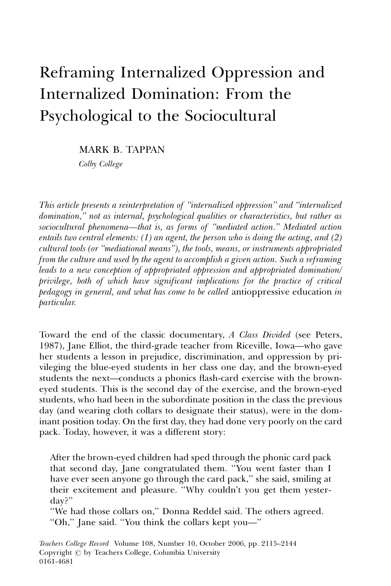# Reframing Internalized Oppression and Internalized Domination: From the Psychological to the Sociocultural

MARK B. TAPPAN

Colby College

This article presents a reinterpretation of ''internalized oppression'' and ''internalized domination,'' not as internal, psychological qualities or characteristics, but rather as sociocultural phenomena—that is, as forms of ''mediated action.'' Mediated action entails two central elements:  $(1)$  an agent, the person who is doing the acting, and  $(2)$ cultural tools (or ''mediational means''), the tools, means, or instruments appropriated from the culture and used by the agent to accomplish a given action. Such a reframing leads to a new conception of appropriated oppression and appropriated domination/ privilege, both of which have significant implications for the practice of critical pedagogy in general, and what has come to be called antioppressive education in particular.

Toward the end of the classic documentary, A Class Divided (see Peters, 1987), Jane Elliot, the third-grade teacher from Riceville, Iowa—who gave her students a lesson in prejudice, discrimination, and oppression by privileging the blue-eyed students in her class one day, and the brown-eyed students the next—conducts a phonics flash-card exercise with the browneyed students. This is the second day of the exercise, and the brown-eyed students, who had been in the subordinate position in the class the previous day (and wearing cloth collars to designate their status), were in the dominant position today. On the first day, they had done very poorly on the card pack. Today, however, it was a different story:

After the brown-eyed children had sped through the phonic card pack that second day, Jane congratulated them. ''You went faster than I have ever seen anyone go through the card pack,'' she said, smiling at their excitement and pleasure. ''Why couldn't you get them yesterday?''

''We had those collars on,'' Donna Reddel said. The others agreed. ''Oh,'' Jane said. ''You think the collars kept you—''

Teachers College Record Volume 108, Number 10, October 2006, pp. 2115–2144 Copyright  $\circled{c}$  by Teachers College, Columbia University 0161-4681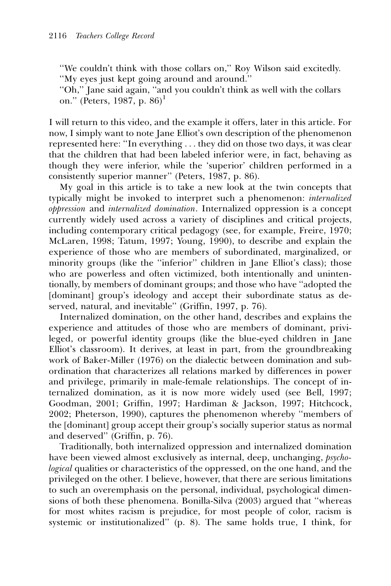''We couldn't think with those collars on,'' Roy Wilson said excitedly. ''My eyes just kept going around and around.''

"Oh," Jane said again, "and you couldn't think as well with the collars on." (Peters, 1987, p. 86)<sup>1</sup>

I will return to this video, and the example it offers, later in this article. For now, I simply want to note Jane Elliot's own description of the phenomenon represented here: ''In everything . . . they did on those two days, it was clear that the children that had been labeled inferior were, in fact, behaving as though they were inferior, while the 'superior' children performed in a consistently superior manner'' (Peters, 1987, p. 86).

My goal in this article is to take a new look at the twin concepts that typically might be invoked to interpret such a phenomenon: internalized oppression and internalized domination. Internalized oppression is a concept currently widely used across a variety of disciplines and critical projects, including contemporary critical pedagogy (see, for example, Freire, 1970; McLaren, 1998; Tatum, 1997; Young, 1990), to describe and explain the experience of those who are members of subordinated, marginalized, or minority groups (like the ''inferior'' children in Jane Elliot's class); those who are powerless and often victimized, both intentionally and unintentionally, by members of dominant groups; and those who have ''adopted the [dominant] group's ideology and accept their subordinate status as deserved, natural, and inevitable'' (Griffin, 1997, p. 76).

Internalized domination, on the other hand, describes and explains the experience and attitudes of those who are members of dominant, privileged, or powerful identity groups (like the blue-eyed children in Jane Elliot's classroom). It derives, at least in part, from the groundbreaking work of Baker-Miller (1976) on the dialectic between domination and subordination that characterizes all relations marked by differences in power and privilege, primarily in male-female relationships. The concept of internalized domination, as it is now more widely used (see Bell, 1997; Goodman, 2001; Griffin, 1997; Hardiman & Jackson, 1997; Hitchcock, 2002; Pheterson, 1990), captures the phenomenon whereby ''members of the [dominant] group accept their group's socially superior status as normal and deserved'' (Griffin, p. 76).

Traditionally, both internalized oppression and internalized domination have been viewed almost exclusively as internal, deep, unchanging, psychological qualities or characteristics of the oppressed, on the one hand, and the privileged on the other. I believe, however, that there are serious limitations to such an overemphasis on the personal, individual, psychological dimensions of both these phenomena. Bonilla-Silva (2003) argued that ''whereas for most whites racism is prejudice, for most people of color, racism is systemic or institutionalized'' (p. 8). The same holds true, I think, for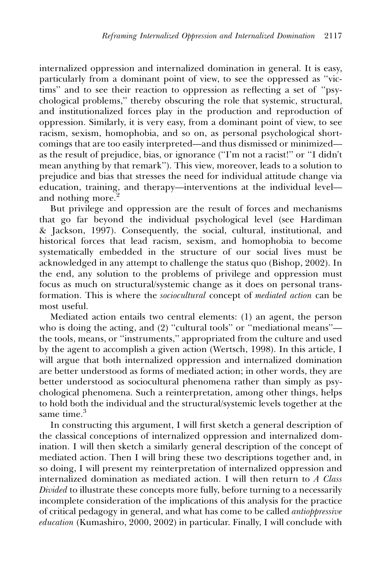internalized oppression and internalized domination in general. It is easy, particularly from a dominant point of view, to see the oppressed as ''victims'' and to see their reaction to oppression as reflecting a set of ''psychological problems,'' thereby obscuring the role that systemic, structural, and institutionalized forces play in the production and reproduction of oppression. Similarly, it is very easy, from a dominant point of view, to see racism, sexism, homophobia, and so on, as personal psychological shortcomings that are too easily interpreted—and thus dismissed or minimized as the result of prejudice, bias, or ignorance (''I'm not a racist!'' or ''I didn't mean anything by that remark''). This view, moreover, leads to a solution to prejudice and bias that stresses the need for individual attitude change via education, training, and therapy—interventions at the individual level and nothing more.<sup>2</sup>

But privilege and oppression are the result of forces and mechanisms that go far beyond the individual psychological level (see Hardiman & Jackson, 1997). Consequently, the social, cultural, institutional, and historical forces that lead racism, sexism, and homophobia to become systematically embedded in the structure of our social lives must be acknowledged in any attempt to challenge the status quo (Bishop, 2002). In the end, any solution to the problems of privilege and oppression must focus as much on structural/systemic change as it does on personal transformation. This is where the *sociocultural* concept of mediated action can be most useful.

Mediated action entails two central elements: (1) an agent, the person who is doing the acting, and (2) "cultural tools" or "mediational means" the tools, means, or ''instruments,'' appropriated from the culture and used by the agent to accomplish a given action (Wertsch, 1998). In this article, I will argue that both internalized oppression and internalized domination are better understood as forms of mediated action; in other words, they are better understood as sociocultural phenomena rather than simply as psychological phenomena. Such a reinterpretation, among other things, helps to hold both the individual and the structural/systemic levels together at the same time. $^3$ 

In constructing this argument, I will first sketch a general description of the classical conceptions of internalized oppression and internalized domination. I will then sketch a similarly general description of the concept of mediated action. Then I will bring these two descriptions together and, in so doing, I will present my reinterpretation of internalized oppression and internalized domination as mediated action. I will then return to A Class Divided to illustrate these concepts more fully, before turning to a necessarily incomplete consideration of the implications of this analysis for the practice of critical pedagogy in general, and what has come to be called antioppressive education (Kumashiro, 2000, 2002) in particular. Finally, I will conclude with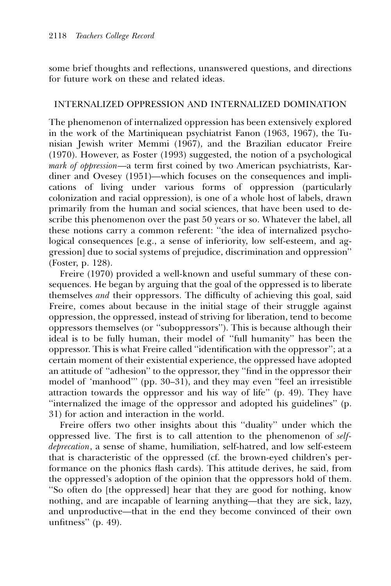some brief thoughts and reflections, unanswered questions, and directions for future work on these and related ideas.

## INTERNALIZED OPPRESSION AND INTERNALIZED DOMINATION

The phenomenon of internalized oppression has been extensively explored in the work of the Martiniquean psychiatrist Fanon (1963, 1967), the Tunisian Jewish writer Memmi (1967), and the Brazilian educator Freire (1970). However, as Foster (1993) suggested, the notion of a psychological mark of oppression—a term first coined by two American psychiatrists, Kardiner and Ovesey (1951)—which focuses on the consequences and implications of living under various forms of oppression (particularly colonization and racial oppression), is one of a whole host of labels, drawn primarily from the human and social sciences, that have been used to describe this phenomenon over the past 50 years or so. Whatever the label, all these notions carry a common referent: ''the idea of internalized psychological consequences [e.g., a sense of inferiority, low self-esteem, and aggression] due to social systems of prejudice, discrimination and oppression'' (Foster, p. 128).

Freire (1970) provided a well-known and useful summary of these consequences. He began by arguing that the goal of the oppressed is to liberate themselves and their oppressors. The difficulty of achieving this goal, said Freire, comes about because in the initial stage of their struggle against oppression, the oppressed, instead of striving for liberation, tend to become oppressors themselves (or ''suboppressors''). This is because although their ideal is to be fully human, their model of ''full humanity'' has been the oppressor. This is what Freire called ''identification with the oppressor''; at a certain moment of their existential experience, the oppressed have adopted an attitude of ''adhesion'' to the oppressor, they ''find in the oppressor their model of 'manhood''' (pp. 30–31), and they may even ''feel an irresistible attraction towards the oppressor and his way of life'' (p. 49). They have ''internalized the image of the oppressor and adopted his guidelines'' (p. 31) for action and interaction in the world.

Freire offers two other insights about this ''duality'' under which the oppressed live. The first is to call attention to the phenomenon of selfdeprecation, a sense of shame, humiliation, self-hatred, and low self-esteem that is characteristic of the oppressed (cf. the brown-eyed children's performance on the phonics flash cards). This attitude derives, he said, from the oppressed's adoption of the opinion that the oppressors hold of them. ''So often do [the oppressed] hear that they are good for nothing, know nothing, and are incapable of learning anything—that they are sick, lazy, and unproductive—that in the end they become convinced of their own unfitness'' (p. 49).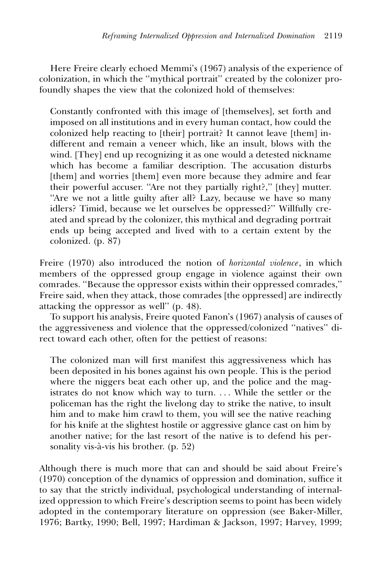Here Freire clearly echoed Memmi's (1967) analysis of the experience of colonization, in which the ''mythical portrait'' created by the colonizer profoundly shapes the view that the colonized hold of themselves:

Constantly confronted with this image of [themselves], set forth and imposed on all institutions and in every human contact, how could the colonized help reacting to [their] portrait? It cannot leave [them] indifferent and remain a veneer which, like an insult, blows with the wind. [They] end up recognizing it as one would a detested nickname which has become a familiar description. The accusation disturbs [them] and worries [them] even more because they admire and fear their powerful accuser. ''Are not they partially right?,'' [they] mutter. ''Are we not a little guilty after all? Lazy, because we have so many idlers? Timid, because we let ourselves be oppressed?'' Willfully created and spread by the colonizer, this mythical and degrading portrait ends up being accepted and lived with to a certain extent by the colonized. (p. 87)

Freire (1970) also introduced the notion of *horizontal violence*, in which members of the oppressed group engage in violence against their own comrades. ''Because the oppressor exists within their oppressed comrades,'' Freire said, when they attack, those comrades [the oppressed] are indirectly attacking the oppressor as well'' (p. 48).

To support his analysis, Freire quoted Fanon's (1967) analysis of causes of the aggressiveness and violence that the oppressed/colonized ''natives'' direct toward each other, often for the pettiest of reasons:

The colonized man will first manifest this aggressiveness which has been deposited in his bones against his own people. This is the period where the niggers beat each other up, and the police and the magistrates do not know which way to turn. . . . While the settler or the policeman has the right the livelong day to strike the native, to insult him and to make him crawl to them, you will see the native reaching for his knife at the slightest hostile or aggressive glance cast on him by another native; for the last resort of the native is to defend his personality vis-à-vis his brother.  $(p. 52)$ 

Although there is much more that can and should be said about Freire's (1970) conception of the dynamics of oppression and domination, suffice it to say that the strictly individual, psychological understanding of internalized oppression to which Freire's description seems to point has been widely adopted in the contemporary literature on oppression (see Baker-Miller, 1976; Bartky, 1990; Bell, 1997; Hardiman & Jackson, 1997; Harvey, 1999;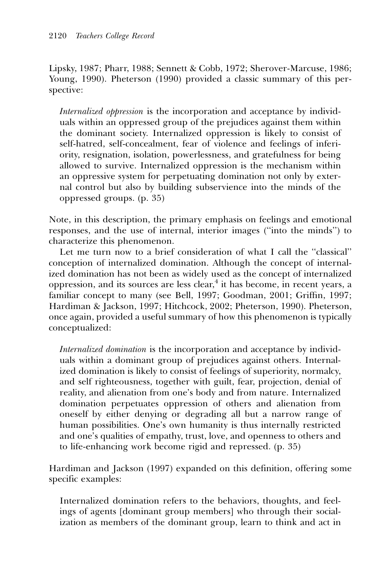Lipsky, 1987; Pharr, 1988; Sennett & Cobb, 1972; Sherover-Marcuse, 1986; Young, 1990). Pheterson (1990) provided a classic summary of this perspective:

Internalized oppression is the incorporation and acceptance by individuals within an oppressed group of the prejudices against them within the dominant society. Internalized oppression is likely to consist of self-hatred, self-concealment, fear of violence and feelings of inferiority, resignation, isolation, powerlessness, and gratefulness for being allowed to survive. Internalized oppression is the mechanism within an oppressive system for perpetuating domination not only by external control but also by building subservience into the minds of the oppressed groups. (p. 35)

Note, in this description, the primary emphasis on feelings and emotional responses, and the use of internal, interior images (''into the minds'') to characterize this phenomenon.

Let me turn now to a brief consideration of what I call the ''classical'' conception of internalized domination. Although the concept of internalized domination has not been as widely used as the concept of internalized oppression, and its sources are less clear, $<sup>4</sup>$  it has become, in recent years, a</sup> familiar concept to many (see Bell, 1997; Goodman, 2001; Griffin, 1997; Hardiman & Jackson, 1997; Hitchcock, 2002; Pheterson, 1990). Pheterson, once again, provided a useful summary of how this phenomenon is typically conceptualized:

Internalized domination is the incorporation and acceptance by individuals within a dominant group of prejudices against others. Internalized domination is likely to consist of feelings of superiority, normalcy, and self righteousness, together with guilt, fear, projection, denial of reality, and alienation from one's body and from nature. Internalized domination perpetuates oppression of others and alienation from oneself by either denying or degrading all but a narrow range of human possibilities. One's own humanity is thus internally restricted and one's qualities of empathy, trust, love, and openness to others and to life-enhancing work become rigid and repressed. (p. 35)

Hardiman and Jackson (1997) expanded on this definition, offering some specific examples:

Internalized domination refers to the behaviors, thoughts, and feelings of agents [dominant group members] who through their socialization as members of the dominant group, learn to think and act in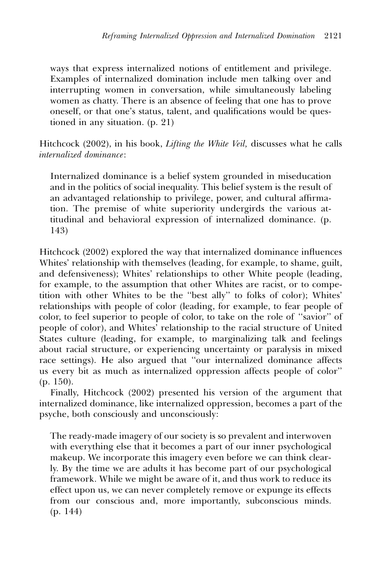ways that express internalized notions of entitlement and privilege. Examples of internalized domination include men talking over and interrupting women in conversation, while simultaneously labeling women as chatty. There is an absence of feeling that one has to prove oneself, or that one's status, talent, and qualifications would be questioned in any situation. (p. 21)

Hitchcock (2002), in his book, *Lifting the White Veil*, discusses what he calls internalized dominance:

Internalized dominance is a belief system grounded in miseducation and in the politics of social inequality. This belief system is the result of an advantaged relationship to privilege, power, and cultural affirmation. The premise of white superiority undergirds the various attitudinal and behavioral expression of internalized dominance. (p. 143)

Hitchcock (2002) explored the way that internalized dominance influences Whites' relationship with themselves (leading, for example, to shame, guilt, and defensiveness); Whites' relationships to other White people (leading, for example, to the assumption that other Whites are racist, or to competition with other Whites to be the ''best ally'' to folks of color); Whites' relationships with people of color (leading, for example, to fear people of color, to feel superior to people of color, to take on the role of ''savior'' of people of color), and Whites' relationship to the racial structure of United States culture (leading, for example, to marginalizing talk and feelings about racial structure, or experiencing uncertainty or paralysis in mixed race settings). He also argued that ''our internalized dominance affects us every bit as much as internalized oppression affects people of color'' (p. 150).

Finally, Hitchcock (2002) presented his version of the argument that internalized dominance, like internalized oppression, becomes a part of the psyche, both consciously and unconsciously:

The ready-made imagery of our society is so prevalent and interwoven with everything else that it becomes a part of our inner psychological makeup. We incorporate this imagery even before we can think clearly. By the time we are adults it has become part of our psychological framework. While we might be aware of it, and thus work to reduce its effect upon us, we can never completely remove or expunge its effects from our conscious and, more importantly, subconscious minds. (p. 144)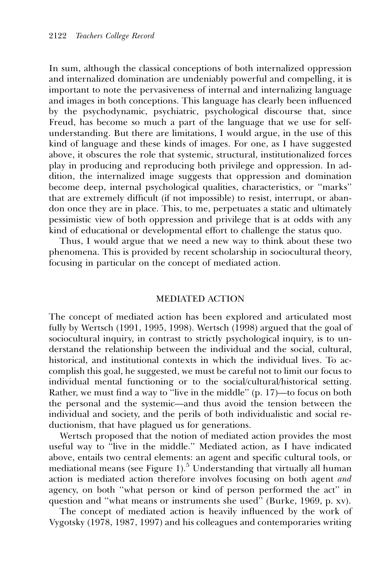In sum, although the classical conceptions of both internalized oppression and internalized domination are undeniably powerful and compelling, it is important to note the pervasiveness of internal and internalizing language and images in both conceptions. This language has clearly been influenced by the psychodynamic, psychiatric, psychological discourse that, since Freud, has become so much a part of the language that we use for selfunderstanding. But there are limitations, I would argue, in the use of this kind of language and these kinds of images. For one, as I have suggested above, it obscures the role that systemic, structural, institutionalized forces play in producing and reproducing both privilege and oppression. In addition, the internalized image suggests that oppression and domination become deep, internal psychological qualities, characteristics, or ''marks'' that are extremely difficult (if not impossible) to resist, interrupt, or abandon once they are in place. This, to me, perpetuates a static and ultimately pessimistic view of both oppression and privilege that is at odds with any kind of educational or developmental effort to challenge the status quo.

Thus, I would argue that we need a new way to think about these two phenomena. This is provided by recent scholarship in sociocultural theory, focusing in particular on the concept of mediated action.

#### MEDIATED ACTION

The concept of mediated action has been explored and articulated most fully by Wertsch (1991, 1995, 1998). Wertsch (1998) argued that the goal of sociocultural inquiry, in contrast to strictly psychological inquiry, is to understand the relationship between the individual and the social, cultural, historical, and institutional contexts in which the individual lives. To accomplish this goal, he suggested, we must be careful not to limit our focus to individual mental functioning or to the social/cultural/historical setting. Rather, we must find a way to ''live in the middle'' (p. 17)—to focus on both the personal and the systemic—and thus avoid the tension between the individual and society, and the perils of both individualistic and social reductionism, that have plagued us for generations.

Wertsch proposed that the notion of mediated action provides the most useful way to ''live in the middle.'' Mediated action, as I have indicated above, entails two central elements: an agent and specific cultural tools, or mediational means (see Figure 1).<sup>5</sup> Understanding that virtually all human action is mediated action therefore involves focusing on both agent and agency, on both ''what person or kind of person performed the act'' in question and ''what means or instruments she used'' (Burke, 1969, p. xv).

The concept of mediated action is heavily influenced by the work of Vygotsky (1978, 1987, 1997) and his colleagues and contemporaries writing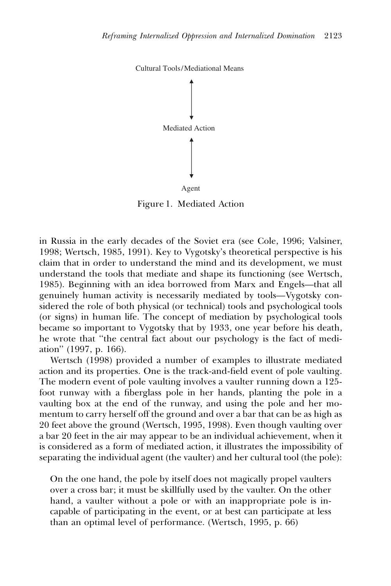

Figure 1. Mediated Action

in Russia in the early decades of the Soviet era (see Cole, 1996; Valsiner, 1998; Wertsch, 1985, 1991). Key to Vygotsky's theoretical perspective is his claim that in order to understand the mind and its development, we must understand the tools that mediate and shape its functioning (see Wertsch, 1985). Beginning with an idea borrowed from Marx and Engels—that all genuinely human activity is necessarily mediated by tools—Vygotsky considered the role of both physical (or technical) tools and psychological tools (or signs) in human life. The concept of mediation by psychological tools became so important to Vygotsky that by 1933, one year before his death, he wrote that ''the central fact about our psychology is the fact of mediation'' (1997, p. 166).

Wertsch (1998) provided a number of examples to illustrate mediated action and its properties. One is the track-and-field event of pole vaulting. The modern event of pole vaulting involves a vaulter running down a 125 foot runway with a fiberglass pole in her hands, planting the pole in a vaulting box at the end of the runway, and using the pole and her momentum to carry herself off the ground and over a bar that can be as high as 20 feet above the ground (Wertsch, 1995, 1998). Even though vaulting over a bar 20 feet in the air may appear to be an individual achievement, when it is considered as a form of mediated action, it illustrates the impossibility of separating the individual agent (the vaulter) and her cultural tool (the pole):

On the one hand, the pole by itself does not magically propel vaulters over a cross bar; it must be skillfully used by the vaulter. On the other hand, a vaulter without a pole or with an inappropriate pole is incapable of participating in the event, or at best can participate at less than an optimal level of performance. (Wertsch, 1995, p. 66)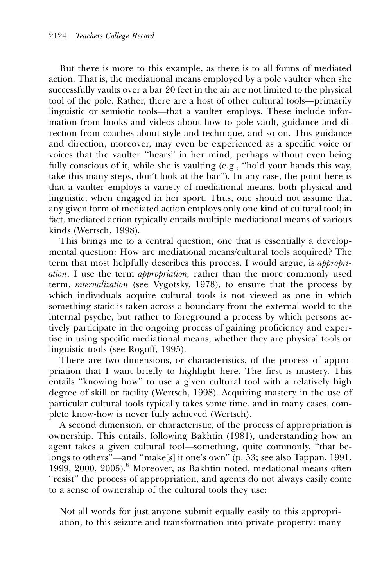But there is more to this example, as there is to all forms of mediated action. That is, the mediational means employed by a pole vaulter when she successfully vaults over a bar 20 feet in the air are not limited to the physical tool of the pole. Rather, there are a host of other cultural tools—primarily linguistic or semiotic tools—that a vaulter employs. These include information from books and videos about how to pole vault, guidance and direction from coaches about style and technique, and so on. This guidance and direction, moreover, may even be experienced as a specific voice or voices that the vaulter ''hears'' in her mind, perhaps without even being fully conscious of it, while she is vaulting (e.g., ''hold your hands this way, take this many steps, don't look at the bar''). In any case, the point here is that a vaulter employs a variety of mediational means, both physical and linguistic, when engaged in her sport. Thus, one should not assume that any given form of mediated action employs only one kind of cultural tool; in fact, mediated action typically entails multiple mediational means of various kinds (Wertsch, 1998).

This brings me to a central question, one that is essentially a developmental question: How are mediational means/cultural tools acquired? The term that most helpfully describes this process, I would argue, is appropriation. I use the term appropriation, rather than the more commonly used term, internalization (see Vygotsky, 1978), to ensure that the process by which individuals acquire cultural tools is not viewed as one in which something static is taken across a boundary from the external world to the internal psyche, but rather to foreground a process by which persons actively participate in the ongoing process of gaining proficiency and expertise in using specific mediational means, whether they are physical tools or linguistic tools (see Rogoff, 1995).

There are two dimensions, or characteristics, of the process of appropriation that I want briefly to highlight here. The first is mastery. This entails ''knowing how'' to use a given cultural tool with a relatively high degree of skill or facility (Wertsch, 1998). Acquiring mastery in the use of particular cultural tools typically takes some time, and in many cases, complete know-how is never fully achieved (Wertsch).

A second dimension, or characteristic, of the process of appropriation is ownership. This entails, following Bakhtin (1981), understanding how an agent takes a given cultural tool—something, quite commonly, ''that belongs to others''—and ''make[s] it one's own'' (p. 53; see also Tappan, 1991, 1999, 2000, 2005).<sup>6</sup> Moreover, as Bakhtin noted, medational means often ''resist'' the process of appropriation, and agents do not always easily come to a sense of ownership of the cultural tools they use:

Not all words for just anyone submit equally easily to this appropriation, to this seizure and transformation into private property: many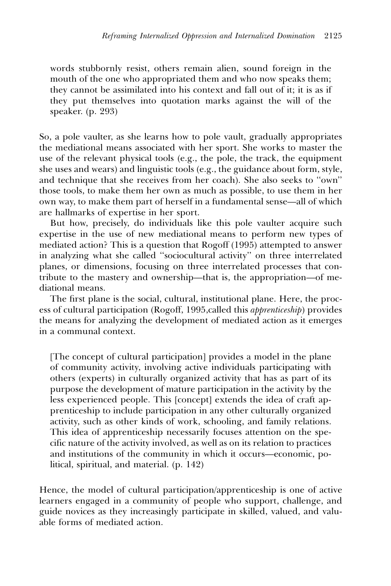words stubbornly resist, others remain alien, sound foreign in the mouth of the one who appropriated them and who now speaks them; they cannot be assimilated into his context and fall out of it; it is as if they put themselves into quotation marks against the will of the speaker. (p. 293)

So, a pole vaulter, as she learns how to pole vault, gradually appropriates the mediational means associated with her sport. She works to master the use of the relevant physical tools (e.g., the pole, the track, the equipment she uses and wears) and linguistic tools (e.g., the guidance about form, style, and technique that she receives from her coach). She also seeks to ''own'' those tools, to make them her own as much as possible, to use them in her own way, to make them part of herself in a fundamental sense—all of which are hallmarks of expertise in her sport.

But how, precisely, do individuals like this pole vaulter acquire such expertise in the use of new mediational means to perform new types of mediated action? This is a question that Rogoff (1995) attempted to answer in analyzing what she called ''sociocultural activity'' on three interrelated planes, or dimensions, focusing on three interrelated processes that contribute to the mastery and ownership—that is, the appropriation—of mediational means.

The first plane is the social, cultural, institutional plane. Here, the process of cultural participation (Rogoff, 1995,called this apprenticeship) provides the means for analyzing the development of mediated action as it emerges in a communal context.

[The concept of cultural participation] provides a model in the plane of community activity, involving active individuals participating with others (experts) in culturally organized activity that has as part of its purpose the development of mature participation in the activity by the less experienced people. This [concept] extends the idea of craft apprenticeship to include participation in any other culturally organized activity, such as other kinds of work, schooling, and family relations. This idea of apprenticeship necessarily focuses attention on the specific nature of the activity involved, as well as on its relation to practices and institutions of the community in which it occurs—economic, political, spiritual, and material. (p. 142)

Hence, the model of cultural participation/apprenticeship is one of active learners engaged in a community of people who support, challenge, and guide novices as they increasingly participate in skilled, valued, and valuable forms of mediated action.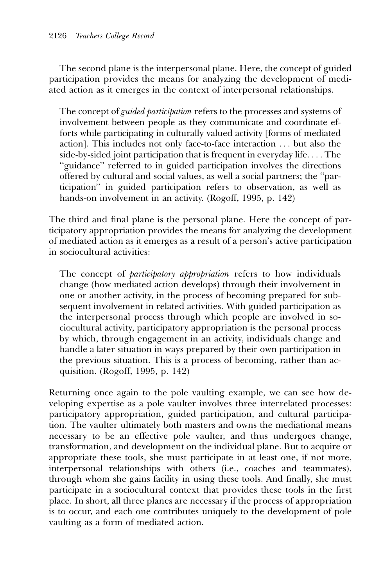The second plane is the interpersonal plane. Here, the concept of guided participation provides the means for analyzing the development of mediated action as it emerges in the context of interpersonal relationships.

The concept of guided participation refers to the processes and systems of involvement between people as they communicate and coordinate efforts while participating in culturally valued activity [forms of mediated action]. This includes not only face-to-face interaction . . . but also the side-by-sided joint participation that is frequent in everyday life. . . . The ''guidance'' referred to in guided participation involves the directions offered by cultural and social values, as well a social partners; the ''participation'' in guided participation refers to observation, as well as hands-on involvement in an activity. (Rogoff, 1995, p. 142)

The third and final plane is the personal plane. Here the concept of participatory appropriation provides the means for analyzing the development of mediated action as it emerges as a result of a person's active participation in sociocultural activities:

The concept of *participatory appropriation* refers to how individuals change (how mediated action develops) through their involvement in one or another activity, in the process of becoming prepared for subsequent involvement in related activities. With guided participation as the interpersonal process through which people are involved in sociocultural activity, participatory appropriation is the personal process by which, through engagement in an activity, individuals change and handle a later situation in ways prepared by their own participation in the previous situation. This is a process of becoming, rather than acquisition. (Rogoff, 1995, p. 142)

Returning once again to the pole vaulting example, we can see how developing expertise as a pole vaulter involves three interrelated processes: participatory appropriation, guided participation, and cultural participation. The vaulter ultimately both masters and owns the mediational means necessary to be an effective pole vaulter, and thus undergoes change, transformation, and development on the individual plane. But to acquire or appropriate these tools, she must participate in at least one, if not more, interpersonal relationships with others (i.e., coaches and teammates), through whom she gains facility in using these tools. And finally, she must participate in a sociocultural context that provides these tools in the first place. In short, all three planes are necessary if the process of appropriation is to occur, and each one contributes uniquely to the development of pole vaulting as a form of mediated action.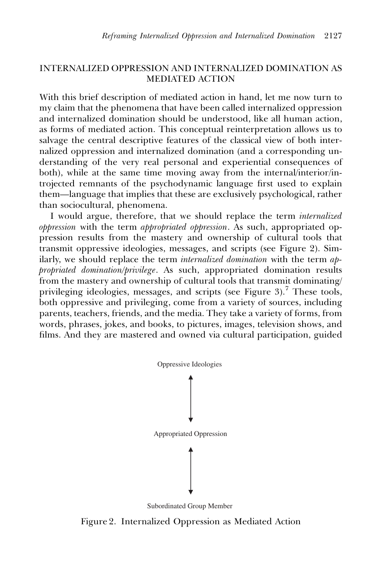# INTERNALIZED OPPRESSION AND INTERNALIZED DOMINATION AS MEDIATED ACTION

With this brief description of mediated action in hand, let me now turn to my claim that the phenomena that have been called internalized oppression and internalized domination should be understood, like all human action, as forms of mediated action. This conceptual reinterpretation allows us to salvage the central descriptive features of the classical view of both internalized oppression and internalized domination (and a corresponding understanding of the very real personal and experiential consequences of both), while at the same time moving away from the internal/interior/introjected remnants of the psychodynamic language first used to explain them—language that implies that these are exclusively psychological, rather than sociocultural, phenomena.

I would argue, therefore, that we should replace the term internalized oppression with the term appropriated oppression. As such, appropriated oppression results from the mastery and ownership of cultural tools that transmit oppressive ideologies, messages, and scripts (see Figure 2). Similarly, we should replace the term *internalized domination* with the term *ap*propriated domination/privilege. As such, appropriated domination results from the mastery and ownership of cultural tools that transmit dominating/ privileging ideologies, messages, and scripts (see Figure 3).<sup>7</sup> These tools, both oppressive and privileging, come from a variety of sources, including parents, teachers, friends, and the media. They take a variety of forms, from words, phrases, jokes, and books, to pictures, images, television shows, and films. And they are mastered and owned via cultural participation, guided



Figure 2. Internalized Oppression as Mediated Action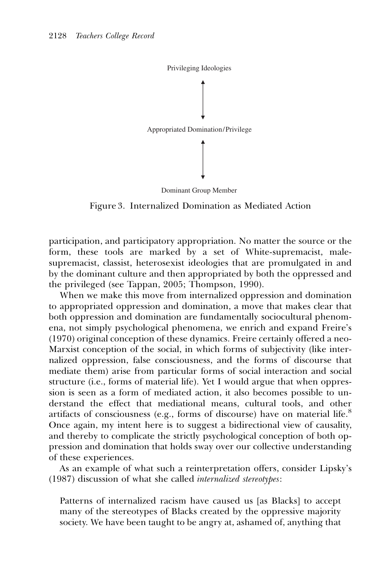

Figure 3. Internalized Domination as Mediated Action

participation, and participatory appropriation. No matter the source or the form, these tools are marked by a set of White-supremacist, malesupremacist, classist, heterosexist ideologies that are promulgated in and by the dominant culture and then appropriated by both the oppressed and the privileged (see Tappan, 2005; Thompson, 1990).

When we make this move from internalized oppression and domination to appropriated oppression and domination, a move that makes clear that both oppression and domination are fundamentally sociocultural phenomena, not simply psychological phenomena, we enrich and expand Freire's (1970) original conception of these dynamics. Freire certainly offered a neo-Marxist conception of the social, in which forms of subjectivity (like internalized oppression, false consciousness, and the forms of discourse that mediate them) arise from particular forms of social interaction and social structure (i.e., forms of material life). Yet I would argue that when oppression is seen as a form of mediated action, it also becomes possible to understand the effect that mediational means, cultural tools, and other artifacts of consciousness (e.g., forms of discourse) have on material life.<sup>8</sup> Once again, my intent here is to suggest a bidirectional view of causality, and thereby to complicate the strictly psychological conception of both oppression and domination that holds sway over our collective understanding of these experiences.

As an example of what such a reinterpretation offers, consider Lipsky's (1987) discussion of what she called internalized stereotypes:

Patterns of internalized racism have caused us [as Blacks] to accept many of the stereotypes of Blacks created by the oppressive majority society. We have been taught to be angry at, ashamed of, anything that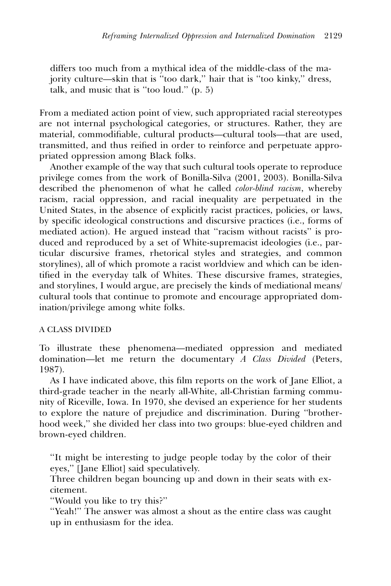differs too much from a mythical idea of the middle-class of the majority culture—skin that is ''too dark,'' hair that is ''too kinky,'' dress, talk, and music that is ''too loud.'' (p. 5)

From a mediated action point of view, such appropriated racial stereotypes are not internal psychological categories, or structures. Rather, they are material, commodifiable, cultural products—cultural tools—that are used, transmitted, and thus reified in order to reinforce and perpetuate appropriated oppression among Black folks.

Another example of the way that such cultural tools operate to reproduce privilege comes from the work of Bonilla-Silva (2001, 2003). Bonilla-Silva described the phenomenon of what he called *color-blind racism*, whereby racism, racial oppression, and racial inequality are perpetuated in the United States, in the absence of explicitly racist practices, policies, or laws, by specific ideological constructions and discursive practices (i.e., forms of mediated action). He argued instead that ''racism without racists'' is produced and reproduced by a set of White-supremacist ideologies (i.e., particular discursive frames, rhetorical styles and strategies, and common storylines), all of which promote a racist worldview and which can be identified in the everyday talk of Whites. These discursive frames, strategies, and storylines, I would argue, are precisely the kinds of mediational means/ cultural tools that continue to promote and encourage appropriated domination/privilege among white folks.

## A CLASS DIVIDED

To illustrate these phenomena—mediated oppression and mediated domination—let me return the documentary A Class Divided (Peters, 1987).

As I have indicated above, this film reports on the work of Jane Elliot, a third-grade teacher in the nearly all-White, all-Christian farming community of Riceville, Iowa. In 1970, she devised an experience for her students to explore the nature of prejudice and discrimination. During ''brotherhood week,'' she divided her class into two groups: blue-eyed children and brown-eyed children.

''It might be interesting to judge people today by the color of their eyes,'' [Jane Elliot] said speculatively.

Three children began bouncing up and down in their seats with excitement.

''Would you like to try this?''

"Yeah!" The answer was almost a shout as the entire class was caught up in enthusiasm for the idea.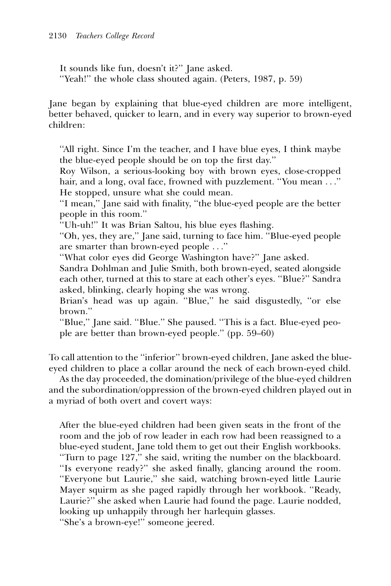It sounds like fun, doesn't it?'' Jane asked. "Yeah!" the whole class shouted again. (Peters, 1987, p. 59)

Jane began by explaining that blue-eyed children are more intelligent, better behaved, quicker to learn, and in every way superior to brown-eyed children:

''All right. Since I'm the teacher, and I have blue eyes, I think maybe the blue-eyed people should be on top the first day.''

Roy Wilson, a serious-looking boy with brown eyes, close-cropped hair, and a long, oval face, frowned with puzzlement. "You mean ..." He stopped, unsure what she could mean.

''I mean,'' Jane said with finality, ''the blue-eyed people are the better people in this room.''

''Uh-uh!'' It was Brian Saltou, his blue eyes flashing.

''Oh, yes, they are,'' Jane said, turning to face him. ''Blue-eyed people are smarter than brown-eyed people . . .''

''What color eyes did George Washington have?'' Jane asked.

Sandra Dohlman and Julie Smith, both brown-eyed, seated alongside each other, turned at this to stare at each other's eyes. ''Blue?'' Sandra asked, blinking, clearly hoping she was wrong.

Brian's head was up again. ''Blue,'' he said disgustedly, ''or else brown.''

''Blue,'' Jane said. ''Blue.'' She paused. ''This is a fact. Blue-eyed people are better than brown-eyed people.'' (pp. 59–60)

To call attention to the ''inferior'' brown-eyed children, Jane asked the blueeyed children to place a collar around the neck of each brown-eyed child.

As the day proceeded, the domination/privilege of the blue-eyed children and the subordination/oppression of the brown-eyed children played out in a myriad of both overt and covert ways:

After the blue-eyed children had been given seats in the front of the room and the job of row leader in each row had been reassigned to a blue-eyed student, Jane told them to get out their English workbooks. ''Turn to page 127,'' she said, writing the number on the blackboard. ''Is everyone ready?'' she asked finally, glancing around the room. ''Everyone but Laurie,'' she said, watching brown-eyed little Laurie Mayer squirm as she paged rapidly through her workbook. ''Ready, Laurie?'' she asked when Laurie had found the page. Laurie nodded, looking up unhappily through her harlequin glasses. ''She's a brown-eye!'' someone jeered.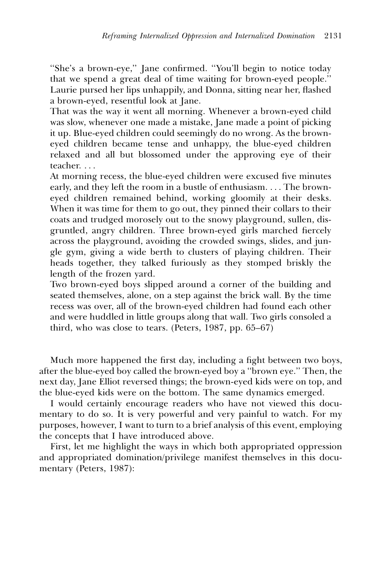"She's a brown-eye," Jane confirmed. "You'll begin to notice today that we spend a great deal of time waiting for brown-eyed people.'' Laurie pursed her lips unhappily, and Donna, sitting near her, flashed a brown-eyed, resentful look at Jane.

That was the way it went all morning. Whenever a brown-eyed child was slow, whenever one made a mistake, Jane made a point of picking it up. Blue-eyed children could seemingly do no wrong. As the browneyed children became tense and unhappy, the blue-eyed children relaxed and all but blossomed under the approving eye of their teacher. . . .

At morning recess, the blue-eyed children were excused five minutes early, and they left the room in a bustle of enthusiasm. . . . The browneyed children remained behind, working gloomily at their desks. When it was time for them to go out, they pinned their collars to their coats and trudged morosely out to the snowy playground, sullen, disgruntled, angry children. Three brown-eyed girls marched fiercely across the playground, avoiding the crowded swings, slides, and jungle gym, giving a wide berth to clusters of playing children. Their heads together, they talked furiously as they stomped briskly the length of the frozen yard.

Two brown-eyed boys slipped around a corner of the building and seated themselves, alone, on a step against the brick wall. By the time recess was over, all of the brown-eyed children had found each other and were huddled in little groups along that wall. Two girls consoled a third, who was close to tears. (Peters, 1987, pp. 65–67)

Much more happened the first day, including a fight between two boys, after the blue-eyed boy called the brown-eyed boy a ''brown eye.'' Then, the next day, Jane Elliot reversed things; the brown-eyed kids were on top, and the blue-eyed kids were on the bottom. The same dynamics emerged.

I would certainly encourage readers who have not viewed this documentary to do so. It is very powerful and very painful to watch. For my purposes, however, I want to turn to a brief analysis of this event, employing the concepts that I have introduced above.

First, let me highlight the ways in which both appropriated oppression and appropriated domination/privilege manifest themselves in this documentary (Peters, 1987):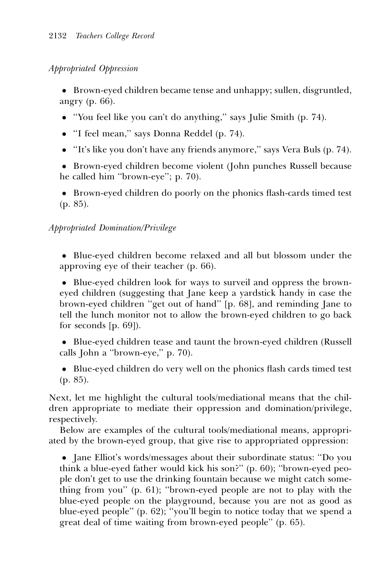# Appropriated Oppression

• Brown-eyed children became tense and unhappy; sullen, disgruntled, angry (p. 66).

- ''You feel like you can't do anything,'' says Julie Smith (p. 74).
- ''I feel mean,'' says Donna Reddel (p. 74).
- "It's like you don't have any friends anymore," says Vera Buls (p. 74).

 Brown-eyed children become violent (John punches Russell because he called him ''brown-eye''; p. 70).

• Brown-eyed children do poorly on the phonics flash-cards timed test (p. 85).

# Appropriated Domination/Privilege

 Blue-eyed children become relaxed and all but blossom under the approving eye of their teacher (p. 66).

 Blue-eyed children look for ways to surveil and oppress the browneyed children (suggesting that Jane keep a yardstick handy in case the brown-eyed children ''get out of hand'' [p. 68], and reminding Jane to tell the lunch monitor not to allow the brown-eyed children to go back for seconds [p. 69]).

 Blue-eyed children tease and taunt the brown-eyed children (Russell calls John a ''brown-eye,'' p. 70).

• Blue-eyed children do very well on the phonics flash cards timed test (p. 85).

Next, let me highlight the cultural tools/mediational means that the children appropriate to mediate their oppression and domination/privilege, respectively.

Below are examples of the cultural tools/mediational means, appropriated by the brown-eyed group, that give rise to appropriated oppression:

• Jane Elliot's words/messages about their subordinate status: "Do you think a blue-eyed father would kick his son?'' (p. 60); ''brown-eyed people don't get to use the drinking fountain because we might catch something from you'' (p. 61); ''brown-eyed people are not to play with the blue-eyed people on the playground, because you are not as good as blue-eyed people'' (p. 62); ''you'll begin to notice today that we spend a great deal of time waiting from brown-eyed people'' (p. 65).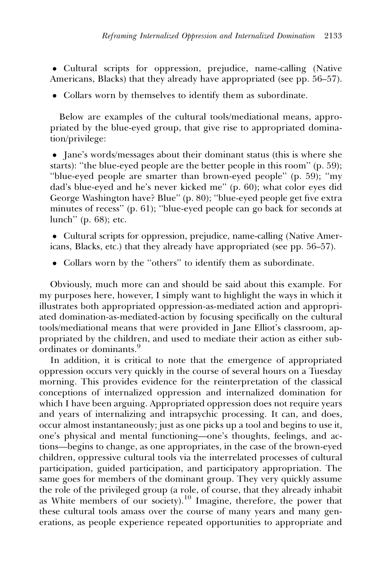Cultural scripts for oppression, prejudice, name-calling (Native Americans, Blacks) that they already have appropriated (see pp. 56–57).

Collars worn by themselves to identify them as subordinate.

Below are examples of the cultural tools/mediational means, appropriated by the blue-eyed group, that give rise to appropriated domination/privilege:

• Jane's words/messages about their dominant status (this is where she starts): "the blue-eyed people are the better people in this room" (p. 59); ''blue-eyed people are smarter than brown-eyed people'' (p. 59); ''my dad's blue-eyed and he's never kicked me'' (p. 60); what color eyes did George Washington have? Blue'' (p. 80); ''blue-eyed people get five extra minutes of recess'' (p. 61); ''blue-eyed people can go back for seconds at lunch'' (p. 68); etc.

• Cultural scripts for oppression, prejudice, name-calling (Native Americans, Blacks, etc.) that they already have appropriated (see pp. 56–57).

Collars worn by the ''others'' to identify them as subordinate.

Obviously, much more can and should be said about this example. For my purposes here, however, I simply want to highlight the ways in which it illustrates both appropriated oppression-as-mediated action and appropriated domination-as-mediated-action by focusing specifically on the cultural tools/mediational means that were provided in Jane Elliot's classroom, appropriated by the children, and used to mediate their action as either subordinates or dominants.<sup>9</sup>

In addition, it is critical to note that the emergence of appropriated oppression occurs very quickly in the course of several hours on a Tuesday morning. This provides evidence for the reinterpretation of the classical conceptions of internalized oppression and internalized domination for which I have been arguing. Appropriated oppression does not require years and years of internalizing and intrapsychic processing. It can, and does, occur almost instantaneously; just as one picks up a tool and begins to use it, one's physical and mental functioning—one's thoughts, feelings, and actions—begins to change, as one appropriates, in the case of the brown-eyed children, oppressive cultural tools via the interrelated processes of cultural participation, guided participation, and participatory appropriation. The same goes for members of the dominant group. They very quickly assume the role of the privileged group (a role, of course, that they already inhabit as White members of our society).<sup>10</sup> Imagine, therefore, the power that these cultural tools amass over the course of many years and many generations, as people experience repeated opportunities to appropriate and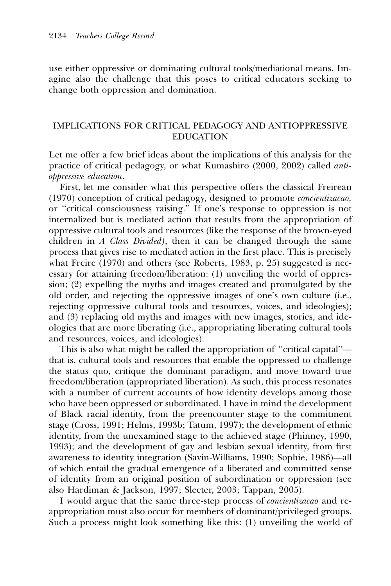use either oppressive or dominating cultural tools/mediational means. Imagine also the challenge that this poses to critical educators seeking to change both oppression and domination.

# IMPLICATIONS FOR CRITICAL PEDAGOGY AND ANTIOPPRESSIVE EDUCATION

Let me offer a few brief ideas about the implications of this analysis for the practice of critical pedagogy, or what Kumashiro (2000, 2002) called antioppressive education.

First, let me consider what this perspective offers the classical Freirean (1970) conception of critical pedagogy, designed to promote concientizacao, or ''critical consciousness raising.'' If one's response to oppression is not internalized but is mediated action that results from the appropriation of oppressive cultural tools and resources (like the response of the brown-eyed children in A Class Divided), then it can be changed through the same process that gives rise to mediated action in the first place. This is precisely what Freire (1970) and others (see Roberts, 1983, p. 25) suggested is necessary for attaining freedom/liberation: (1) unveiling the world of oppression; (2) expelling the myths and images created and promulgated by the old order, and rejecting the oppressive images of one's own culture (i.e., rejecting oppressive cultural tools and resources, voices, and ideologies); and (3) replacing old myths and images with new images, stories, and ideologies that are more liberating (i.e., appropriating liberating cultural tools and resources, voices, and ideologies).

This is also what might be called the appropriation of ''critical capital'' that is, cultural tools and resources that enable the oppressed to challenge the status quo, critique the dominant paradigm, and move toward true freedom/liberation (appropriated liberation). As such, this process resonates with a number of current accounts of how identity develops among those who have been oppressed or subordinated. I have in mind the development of Black racial identity, from the preencounter stage to the commitment stage (Cross, 1991; Helms, 1993b; Tatum, 1997); the development of ethnic identity, from the unexamined stage to the achieved stage (Phinney, 1990, 1993); and the development of gay and lesbian sexual identity, from first awareness to identity integration (Savin-Williams, 1990; Sophie, 1986)—all of which entail the gradual emergence of a liberated and committed sense of identity from an original position of subordination or oppression (see also Hardiman & Jackson, 1997; Sleeter, 2003; Tappan, 2005).

I would argue that the same three-step process of concientizacao and reappropriation must also occur for members of dominant/privileged groups. Such a process might look something like this: (1) unveiling the world of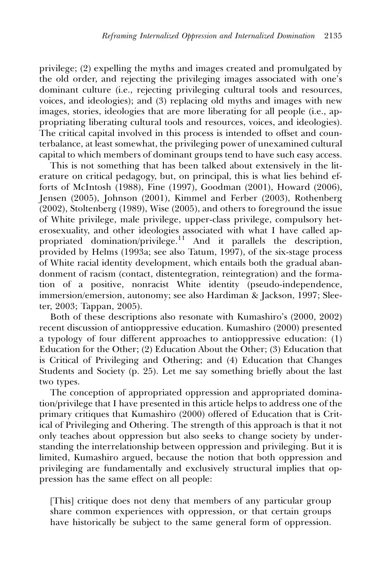privilege; (2) expelling the myths and images created and promulgated by the old order, and rejecting the privileging images associated with one's dominant culture (i.e., rejecting privileging cultural tools and resources, voices, and ideologies); and (3) replacing old myths and images with new images, stories, ideologies that are more liberating for all people (i.e., appropriating liberating cultural tools and resources, voices, and ideologies). The critical capital involved in this process is intended to offset and counterbalance, at least somewhat, the privileging power of unexamined cultural capital to which members of dominant groups tend to have such easy access.

This is not something that has been talked about extensively in the literature on critical pedagogy, but, on principal, this is what lies behind efforts of McIntosh (1988), Fine (1997), Goodman (2001), Howard (2006), Jensen (2005), Johnson (2001), Kimmel and Ferber (2003), Rothenberg (2002), Stoltenberg (1989), Wise (2005), and others to foreground the issue of White privilege, male privilege, upper-class privilege, compulsory heterosexuality, and other ideologies associated with what I have called appropriated domination/privilege.<sup>11</sup> And it parallels the description, provided by Helms (1993a; see also Tatum, 1997), of the six-stage process of White racial identity development, which entails both the gradual abandonment of racism (contact, distentegration, reintegration) and the formation of a positive, nonracist White identity (pseudo-independence, immersion/emersion, autonomy; see also Hardiman & Jackson, 1997; Sleeter, 2003; Tappan, 2005).

Both of these descriptions also resonate with Kumashiro's (2000, 2002) recent discussion of antioppressive education. Kumashiro (2000) presented a typology of four different approaches to antioppressive education: (1) Education for the Other; (2) Education About the Other; (3) Education that is Critical of Privileging and Othering; and (4) Education that Changes Students and Society (p. 25). Let me say something briefly about the last two types.

The conception of appropriated oppression and appropriated domination/privilege that I have presented in this article helps to address one of the primary critiques that Kumashiro (2000) offered of Education that is Critical of Privileging and Othering. The strength of this approach is that it not only teaches about oppression but also seeks to change society by understanding the interrelationship between oppression and privileging. But it is limited, Kumashiro argued, because the notion that both oppression and privileging are fundamentally and exclusively structural implies that oppression has the same effect on all people:

[This] critique does not deny that members of any particular group share common experiences with oppression, or that certain groups have historically be subject to the same general form of oppression.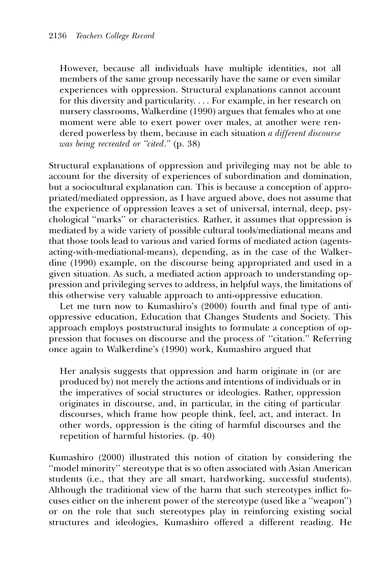However, because all individuals have multiple identities, not all members of the same group necessarily have the same or even similar experiences with oppression. Structural explanations cannot account for this diversity and particularity. . . . For example, in her research on nursery classrooms, Walkerdine (1990) argues that females who at one moment were able to exert power over males, at another were rendered powerless by them, because in each situation a different discourse was being recreated or "cited." (p. 38)

Structural explanations of oppression and privileging may not be able to account for the diversity of experiences of subordination and domination, but a sociocultural explanation can. This is because a conception of appropriated/mediated oppression, as I have argued above, does not assume that the experience of oppression leaves a set of universal, internal, deep, psychological ''marks'' or characteristics. Rather, it assumes that oppression is mediated by a wide variety of possible cultural tools/mediational means and that those tools lead to various and varied forms of mediated action (agentsacting-with-mediational-means), depending, as in the case of the Walkerdine (1990) example, on the discourse being appropriated and used in a given situation. As such, a mediated action approach to understanding oppression and privileging serves to address, in helpful ways, the limitations of this otherwise very valuable approach to anti-oppressive education.

Let me turn now to Kumashiro's (2000) fourth and final type of antioppressive education, Education that Changes Students and Society. This approach employs poststructural insights to formulate a conception of oppression that focuses on discourse and the process of ''citation.'' Referring once again to Walkerdine's (1990) work, Kumashiro argued that

Her analysis suggests that oppression and harm originate in (or are produced by) not merely the actions and intentions of individuals or in the imperatives of social structures or ideologies. Rather, oppression originates in discourse, and, in particular, in the citing of particular discourses, which frame how people think, feel, act, and interact. In other words, oppression is the citing of harmful discourses and the repetition of harmful histories. (p. 40)

Kumashiro (2000) illustrated this notion of citation by considering the ''model minority'' stereotype that is so often associated with Asian American students (i.e., that they are all smart, hardworking, successful students). Although the traditional view of the harm that such stereotypes inflict focuses either on the inherent power of the stereotype (used like a ''weapon'') or on the role that such stereotypes play in reinforcing existing social structures and ideologies, Kumashiro offered a different reading. He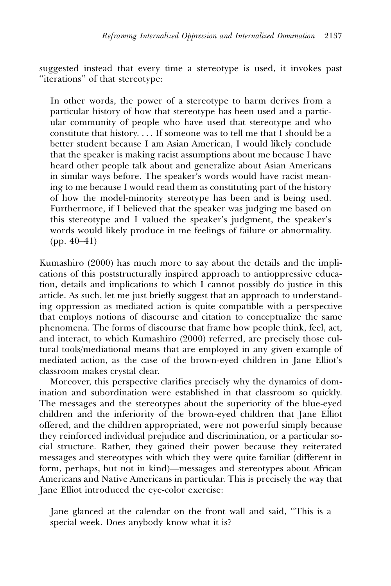suggested instead that every time a stereotype is used, it invokes past ''iterations'' of that stereotype:

In other words, the power of a stereotype to harm derives from a particular history of how that stereotype has been used and a particular community of people who have used that stereotype and who constitute that history. . . . If someone was to tell me that I should be a better student because I am Asian American, I would likely conclude that the speaker is making racist assumptions about me because I have heard other people talk about and generalize about Asian Americans in similar ways before. The speaker's words would have racist meaning to me because I would read them as constituting part of the history of how the model-minority stereotype has been and is being used. Furthermore, if I believed that the speaker was judging me based on this stereotype and I valued the speaker's judgment, the speaker's words would likely produce in me feelings of failure or abnormality. (pp. 40–41)

Kumashiro (2000) has much more to say about the details and the implications of this poststructurally inspired approach to antioppressive education, details and implications to which I cannot possibly do justice in this article. As such, let me just briefly suggest that an approach to understanding oppression as mediated action is quite compatible with a perspective that employs notions of discourse and citation to conceptualize the same phenomena. The forms of discourse that frame how people think, feel, act, and interact, to which Kumashiro (2000) referred, are precisely those cultural tools/mediational means that are employed in any given example of mediated action, as the case of the brown-eyed children in Jane Elliot's classroom makes crystal clear.

Moreover, this perspective clarifies precisely why the dynamics of domination and subordination were established in that classroom so quickly. The messages and the stereotypes about the superiority of the blue-eyed children and the inferiority of the brown-eyed children that Jane Elliot offered, and the children appropriated, were not powerful simply because they reinforced individual prejudice and discrimination, or a particular social structure. Rather, they gained their power because they reiterated messages and stereotypes with which they were quite familiar (different in form, perhaps, but not in kind)—messages and stereotypes about African Americans and Native Americans in particular. This is precisely the way that Jane Elliot introduced the eye-color exercise:

Jane glanced at the calendar on the front wall and said, ''This is a special week. Does anybody know what it is?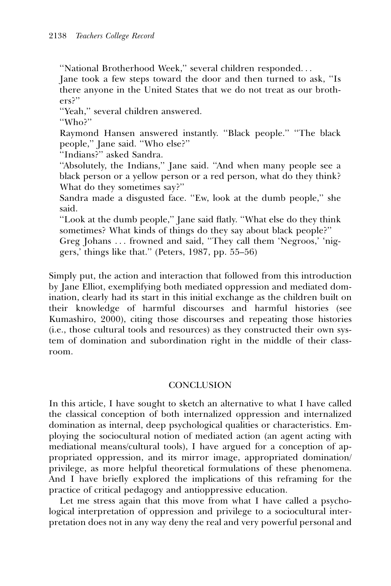''National Brotherhood Week,'' several children responded. . .

Jane took a few steps toward the door and then turned to ask, ''Is there anyone in the United States that we do not treat as our brothers?''

''Yeah,'' several children answered.

''Who?''

Raymond Hansen answered instantly. ''Black people.'' ''The black people,'' Jane said. ''Who else?''

''Indians?'' asked Sandra.

''Absolutely, the Indians,'' Jane said. ''And when many people see a black person or a yellow person or a red person, what do they think? What do they sometimes say?''

Sandra made a disgusted face. "Ew, look at the dumb people," she said.

''Look at the dumb people,'' Jane said flatly. ''What else do they think sometimes? What kinds of things do they say about black people?'' Greg Johans ... frowned and said, "They call them 'Negroos,' 'nig-

gers,' things like that.'' (Peters, 1987, pp. 55–56)

Simply put, the action and interaction that followed from this introduction by Jane Elliot, exemplifying both mediated oppression and mediated domination, clearly had its start in this initial exchange as the children built on their knowledge of harmful discourses and harmful histories (see Kumashiro, 2000), citing those discourses and repeating those histories (i.e., those cultural tools and resources) as they constructed their own system of domination and subordination right in the middle of their classroom.

## **CONCLUSION**

In this article, I have sought to sketch an alternative to what I have called the classical conception of both internalized oppression and internalized domination as internal, deep psychological qualities or characteristics. Employing the sociocultural notion of mediated action (an agent acting with mediational means/cultural tools), I have argued for a conception of appropriated oppression, and its mirror image, appropriated domination/ privilege, as more helpful theoretical formulations of these phenomena. And I have briefly explored the implications of this reframing for the practice of critical pedagogy and antioppressive education.

Let me stress again that this move from what I have called a psychological interpretation of oppression and privilege to a sociocultural interpretation does not in any way deny the real and very powerful personal and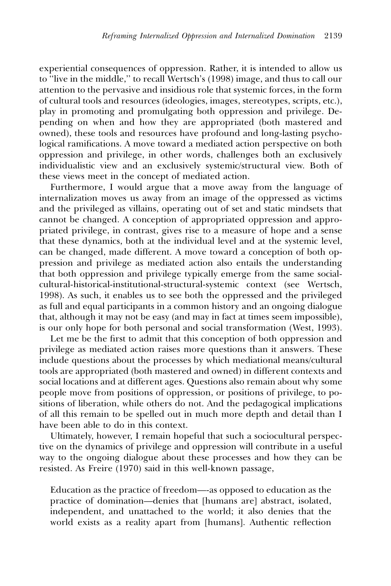experiential consequences of oppression. Rather, it is intended to allow us to ''live in the middle,'' to recall Wertsch's (1998) image, and thus to call our attention to the pervasive and insidious role that systemic forces, in the form of cultural tools and resources (ideologies, images, stereotypes, scripts, etc.), play in promoting and promulgating both oppression and privilege. Depending on when and how they are appropriated (both mastered and owned), these tools and resources have profound and long-lasting psychological ramifications. A move toward a mediated action perspective on both oppression and privilege, in other words, challenges both an exclusively individualistic view and an exclusively systemic/structural view. Both of these views meet in the concept of mediated action.

Furthermore, I would argue that a move away from the language of internalization moves us away from an image of the oppressed as victims and the privileged as villains, operating out of set and static mindsets that cannot be changed. A conception of appropriated oppression and appropriated privilege, in contrast, gives rise to a measure of hope and a sense that these dynamics, both at the individual level and at the systemic level, can be changed, made different. A move toward a conception of both oppression and privilege as mediated action also entails the understanding that both oppression and privilege typically emerge from the same socialcultural-historical-institutional-structural-systemic context (see Wertsch, 1998). As such, it enables us to see both the oppressed and the privileged as full and equal participants in a common history and an ongoing dialogue that, although it may not be easy (and may in fact at times seem impossible), is our only hope for both personal and social transformation (West, 1993).

Let me be the first to admit that this conception of both oppression and privilege as mediated action raises more questions than it answers. These include questions about the processes by which mediational means/cultural tools are appropriated (both mastered and owned) in different contexts and social locations and at different ages. Questions also remain about why some people move from positions of oppression, or positions of privilege, to positions of liberation, while others do not. And the pedagogical implications of all this remain to be spelled out in much more depth and detail than I have been able to do in this context.

Ultimately, however, I remain hopeful that such a sociocultural perspective on the dynamics of privilege and oppression will contribute in a useful way to the ongoing dialogue about these processes and how they can be resisted. As Freire (1970) said in this well-known passage,

Education as the practice of freedom—-as opposed to education as the practice of domination—denies that [humans are] abstract, isolated, independent, and unattached to the world; it also denies that the world exists as a reality apart from [humans]. Authentic reflection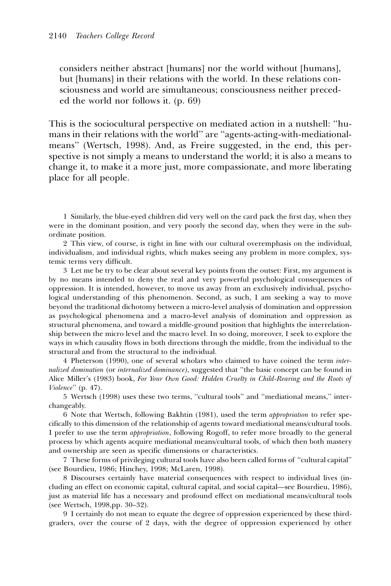considers neither abstract [humans] nor the world without [humans], but [humans] in their relations with the world. In these relations consciousness and world are simultaneous; consciousness neither preceded the world nor follows it. (p. 69)

This is the sociocultural perspective on mediated action in a nutshell: ''humans in their relations with the world'' are ''agents-acting-with-mediationalmeans'' (Wertsch, 1998). And, as Freire suggested, in the end, this perspective is not simply a means to understand the world; it is also a means to change it, to make it a more just, more compassionate, and more liberating place for all people.

1 Similarly, the blue-eyed children did very well on the card pack the first day, when they were in the dominant position, and very poorly the second day, when they were in the subordinate position.

2 This view, of course, is right in line with our cultural overemphasis on the individual, individualism, and individual rights, which makes seeing any problem in more complex, systemic terms very difficult.

3 Let me be try to be clear about several key points from the outset: First, my argument is by no means intended to deny the real and very powerful psychological consequences of oppression. It is intended, however, to move us away from an exclusively individual, psychological understanding of this phenomenon. Second, as such, I am seeking a way to move beyond the traditional dichotomy between a micro-level analysis of domination and oppression as psychological phenomena and a macro-level analysis of domination and oppression as structural phenomena, and toward a middle-ground position that highlights the interrelationship between the micro level and the macro level. In so doing, moreover, I seek to explore the ways in which causality flows in both directions through the middle, from the individual to the structural and from the structural to the individual.

4 Pheterson (1990), one of several scholars who claimed to have coined the term internalized domination (or internalized dominance), suggested that "the basic concept can be found in Alice Miller's (1983) book, For Your Own Good: Hidden Cruelty in Child-Rearing and the Roots of Violence'' (p. 47).

5 Wertsch (1998) uses these two terms, ''cultural tools'' and ''mediational means,'' interchangeably.

6 Note that Wertsch, following Bakhtin (1981), used the term appropriation to refer specifically to this dimension of the relationship of agents toward mediational means/cultural tools. I prefer to use the term appropriation, following Rogoff, to refer more broadly to the general process by which agents acquire mediational means/cultural tools, of which then both mastery and ownership are seen as specific dimensions or characteristics.

7 These forms of privileging cultural tools have also been called forms of ''cultural capital'' (see Bourdieu, 1986; Hinchey, 1998; McLaren, 1998).

8 Discourses certainly have material consequences with respect to individual lives (including an effect on economic capital, cultural capital, and social capital—see Bourdieu, 1986), just as material life has a necessary and profound effect on mediational means/cultural tools (see Wertsch, 1998,pp. 30–32).

9 I certainly do not mean to equate the degree of oppression experienced by these thirdgraders, over the course of 2 days, with the degree of oppression experienced by other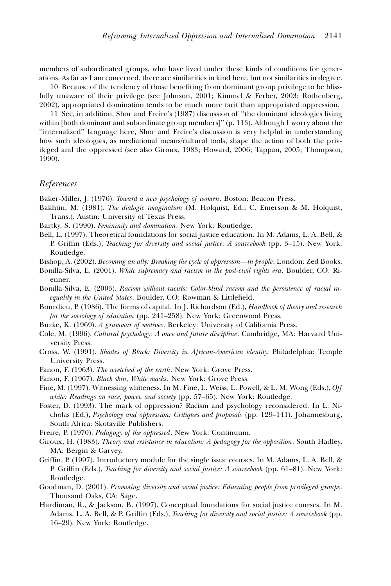members of subordinated groups, who have lived under these kinds of conditions for generations. As far as I am concerned, there are similarities in kind here, but not similarities in degree.

10 Because of the tendency of those benefiting from dominant group privilege to be blissfully unaware of their privilege (see Johnson, 2001; Kimmel & Ferber, 2003; Rothenberg, 2002), appropriated domination tends to be much more tacit than appropriated oppression.

11 See, in addition, Shor and Freire's (1987) discussion of ''the dominant ideologies living within [both dominant and subordinate group members]'' (p. 113). Although I worry about the ''internalized'' language here, Shor and Freire's discussion is very helpful in understanding how such ideologies, as mediational means/cultural tools, shape the action of both the privileged and the oppressed (see also Giroux, 1983; Howard, 2006; Tappan, 2005; Thompson, 1990).

#### References

Baker-Miller, J. (1976). Toward a new psychology of women. Boston: Beacon Press.

- Bakhtin, M. (1981). The dialogic imagination (M. Holquist, Ed.; C. Emerson & M. Holquist, Trans.). Austin: University of Texas Press.
- Bartky, S. (1990). Femininity and domination. New York: Routledge.
- Bell, L. (1997). Theoretical foundations for social justice education. In M. Adams, L. A. Bell, & P. Griffin (Eds.), Teaching for diversity and social justice: A sourcebook (pp. 3–15). New York: Routledge.
- Bishop, A. (2002). Becoming an ally: Breaking the cycle of oppression—in people. London: Zed Books.
- Bonilla-Silva, E. (2001). White supremacy and racism in the post-civil rights era. Boulder, CO: Rienner.
- Bonilla-Silva, E. (2003). Racism without racists: Color-blind racism and the persistence of racial inequality in the United States. Boulder, CO: Rowman & Littlefield.
- Bourdieu, P. (1986). The forms of capital. In J. Richardson (Ed.), Handbook of theory and research for the sociology of education (pp. 241–258). New York: Greenwood Press.
- Burke, K. (1969). A grammar of motives. Berkeley: University of California Press.
- Cole, M. (1996). Cultural psychology: A once and future discipline. Cambridge, MA: Harvard University Press.
- Cross, W. (1991). Shades of Black: Diversity in African-American identity. Philadelphia: Temple University Press.
- Fanon, F. (1963). The wretched of the earth. New York: Grove Press.
- Fanon, F. (1967). Black skin, White masks. New York: Grove Press.
- Fine, M. (1997). Witnessing whiteness. In M. Fine, L. Weiss, L. Powell, & L. M. Wong (Eds.), Off white: Readings on race, power, and society (pp. 57–65). New York: Routledge.
- Foster, D. (1993). The mark of oppression? Racism and psychology reconsidered. In L. Nicholas (Ed.), Psychology and oppression: Critiques and proposals (pp. 129–141). Johannesburg, South Africa: Skotaville Publishers.

Freire, P. (1970). Pedagogy of the oppressed. New York: Continuum.

- Giroux, H. (1983). Theory and resistance in education: A pedagogy for the opposition. South Hadley, MA: Bergin & Garvey.
- Griffin, P. (1997). Introductory module for the single issue courses. In M. Adams, L. A. Bell, & P. Griffin (Eds.), Teaching for diversity and social justice: A sourcebook (pp. 61–81). New York: Routledge.
- Goodman, D. (2001). Promoting diversity and social justice: Educating people from privileged groups. Thousand Oaks, CA: Sage.
- Hardiman, R., & Jackson, B. (1997). Conceptual foundations for social justice courses. In M. Adams, L. A. Bell, & P. Griffin (Eds.), Teaching for diversity and social justice: A sourcebook (pp. 16–29). New York: Routledge.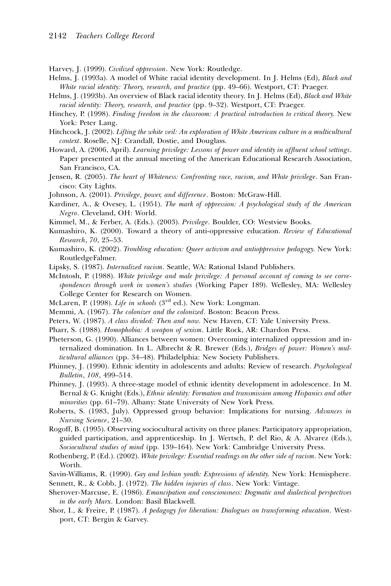Harvey, J. (1999). Civilized oppression. New York: Routledge.

- Helms, J. (1993a). A model of White racial identity development. In J. Helms (Ed), Black and White racial identity: Theory, research, and practice (pp. 49–66). Westport, CT: Praeger.
- Helms, J. (1993b). An overview of Black racial identity theory. In J. Helms (Ed), Black and White racial identity: Theory, research, and practice (pp. 9–32). Westport, CT: Praeger.
- Hinchey, P. (1998). Finding freedom in the classroom: A practical introduction to critical theory. New York: Peter Lang.
- Hitchcock, J. (2002). Lifting the white veil: An exploration of White American culture in a multicultural context. Roselle, NJ: Crandall, Dostie, and Douglass.
- Howard, A. (2006, April). Learning privilege: Lessons of power and identity in affluent school settings. Paper presented at the annual meeting of the American Educational Research Association, San Francisco, CA.
- Jensen, R. (2005). The heart of Whiteness: Confronting race, racism, and White privilege. San Francisco: City Lights.

Johnson, A. (2001). Privilege, power, and difference. Boston: McGraw-Hill.

- Kardiner, A., & Ovesey, L. (1951). The mark of oppression: A psychological study of the American Negro. Cleveland, OH: World.
- Kimmel, M., & Ferber, A. (Eds.). (2003). Privilege. Boulder, CO: Westview Books.
- Kumashiro, K. (2000). Toward a theory of anti-oppressive education. Review of Educational Research, 70, 25–53.
- Kumashiro, K. (2002). Troubling education: Queer activism and antioppressive pedagogy. New York: RoutledgeFalmer.
- Lipsky, S. (1987). Internalized racism. Seattle, WA: Rational Island Publishers.
- McIntosh, P. (1988). White privilege and male privilege: A personal account of coming to see correspondences through work in women's studies (Working Paper 189). Wellesley, MA: Wellesley College Center for Research on Women.
- McLaren, P. (1998). Life in schools (3<sup>rd</sup> ed.). New York: Longman.
- Memmi, A. (1967). The colonizer and the colonized. Boston: Beacon Press.
- Peters, W. (1987). A class divided: Then and now. New Haven, CT: Yale University Press.
- Pharr, S. (1988). Homophobia: A weapon of sexism. Little Rock, AR: Chardon Press.
- Pheterson, G. (1990). Alliances between women: Overcoming internalized oppression and internalized domination. In L. Albrecht & R. Brewer (Eds.), Bridges of power: Women's multicultural alliances (pp. 34–48). Philadelphia: New Society Publishers.
- Phinney, J. (1990). Ethnic identity in adolescents and adults: Review of research. Psychological Bulletin, 108, 499–514.
- Phinney, J. (1993). A three-stage model of ethnic identity development in adolescence. In M. Bernal & G. Knight (Eds.), Ethnic identity: Formation and transmission among Hispanics and other minorities (pp. 61–79). Albany: State University of New York Press.
- Roberts, S. (1983, July). Oppressed group behavior: Implications for nursing. Advances in Nursing Science, 21–30.
- Rogoff, B. (1995). Observing sociocultural activity on three planes: Participatory appropriation, guided participation, and apprenticeship. In J. Wertsch, P. del Rio, & A. Alvarez (Eds.), Sociocultural studies of mind (pp. 139–164). New York: Cambridge University Press.
- Rothenberg, P. (Ed.). (2002). White privilege: Essential readings on the other side of racism. New York: Worth.
- Savin-Williams, R. (1990). Gay and lesbian youth: Expressions of identity. New York: Hemisphere.
- Sennett, R., & Cobb, J. (1972). The hidden injuries of class. New York: Vintage.
- Sherover-Marcuse, E. (1986). Emancipation and consciousness: Dogmatic and dialectical perspectives in the early Marx. London: Basil Blackwell.
- Shor, I., & Freire, P. (1987). A pedagogy for liberation: Dialogues on transforming education. Westport, CT: Bergin & Garvey.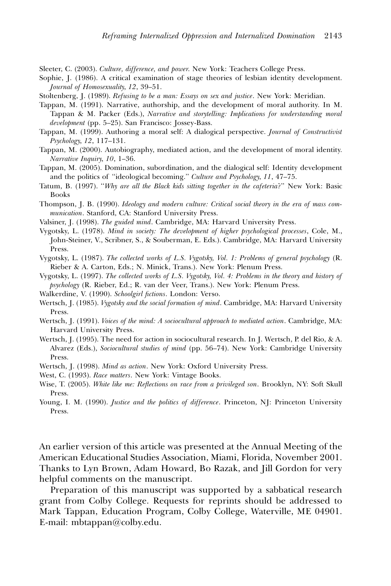Sleeter, C. (2003). Culture, difference, and power. New York: Teachers College Press.

- Sophie, J. (1986). A critical examination of stage theories of lesbian identity development. Journal of Homosexuality, 12, 39–51.
- Stoltenberg, J. (1989). Refusing to be a man: Essays on sex and justice. New York: Meridian.
- Tappan, M. (1991). Narrative, authorship, and the development of moral authority. In M. Tappan & M. Packer (Eds.), Narrative and storytelling: Implications for understanding moral development (pp. 5–25). San Francisco: Jossey-Bass.
- Tappan, M. (1999). Authoring a moral self: A dialogical perspective. Journal of Constructivist Psychology, 12, 117–131.
- Tappan, M. (2000). Autobiography, mediated action, and the development of moral identity. Narrative Inquiry, 10, 1–36.
- Tappan, M. (2005). Domination, subordination, and the dialogical self: Identity development and the politics of ''ideological becoming.'' Culture and Psychology, 11, 47–75.
- Tatum, B. (1997). "Why are all the Black kids sitting together in the cafeteria?" New York: Basic Books
- Thompson, J. B. (1990). Ideology and modern culture: Critical social theory in the era of mass communication. Stanford, CA: Stanford University Press.
- Valsiner, J. (1998). The guided mind. Cambridge, MA: Harvard University Press.
- Vygotsky, L. (1978). Mind in society: The development of higher psychological processes, Cole, M., John-Steiner, V., Scribner, S., & Souberman, E. Eds.). Cambridge, MA: Harvard University Press.
- Vygotsky, L. (1987). The collected works of L.S. Vygotsky, Vol. 1: Problems of general psychology (R. Rieber & A. Carton, Eds.; N. Minick, Trans.). New York: Plenum Press.
- Vygotsky, L. (1997). The collected works of L.S. Vygotsky, Vol. 4: Problems in the theory and history of psychology (R. Rieber, Ed.; R. van der Veer, Trans.). New York: Plenum Press.
- Walkerdine, V. (1990). Schoolgirl fictions. London: Verso.
- Wertsch, J. (1985). Vygotsky and the social formation of mind. Cambridge, MA: Harvard University Press.
- Wertsch, J. (1991). Voices of the mind: A sociocultural approach to mediated action. Cambridge, MA: Harvard University Press.
- Wertsch, J. (1995). The need for action in sociocultural research. In J. Wertsch, P. del Rio, & A. Alvarez (Eds.), Sociocultural studies of mind (pp. 56–74). New York: Cambridge University Press.
- Wertsch, J. (1998). Mind as action. New York: Oxford University Press.
- West, C. (1993). Race matters. New York: Vintage Books.
- Wise, T. (2005). White like me: Reflections on race from a privileged son. Brooklyn, NY: Soft Skull Press.
- Young, I. M. (1990). Justice and the politics of difference. Princeton, NJ: Princeton University Press.

An earlier version of this article was presented at the Annual Meeting of the American Educational Studies Association, Miami, Florida, November 2001. Thanks to Lyn Brown, Adam Howard, Bo Razak, and Jill Gordon for very helpful comments on the manuscript.

Preparation of this manuscript was supported by a sabbatical research grant from Colby College. Requests for reprints should be addressed to Mark Tappan, Education Program, Colby College, Waterville, ME 04901. E-mail: mbtappan@colby.edu.